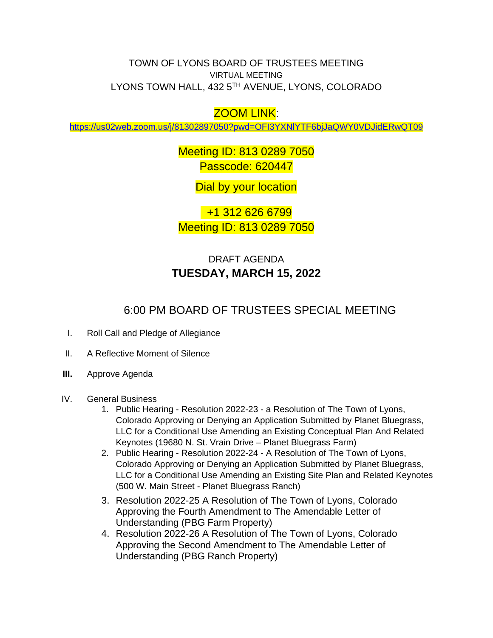TOWN OF LYONS BOARD OF TRUSTEES MEETING VIRTUAL MEETING LYONS TOWN HALL, 432 5TH AVENUE, LYONS, COLORADO

## ZOOM LINK:

<https://us02web.zoom.us/j/81302897050?pwd=OFI3YXNlYTF6bjJaQWY0VDJidERwQT09>

Meeting ID: 813 0289 7050 Passcode: 620447

Dial by your location

 +1 312 626 6799 Meeting ID: 813 0289 7050

## DRAFT AGENDA **TUESDAY, MARCH 15, 2022**

## 6:00 PM BOARD OF TRUSTEES SPECIAL MEETING

- I. Roll Call and Pledge of Allegiance
- II. A Reflective Moment of Silence
- **III.** Approve Agenda
- IV. General Business
	- 1. Public Hearing Resolution 2022-23 a Resolution of The Town of Lyons, Colorado Approving or Denying an Application Submitted by Planet Bluegrass, LLC for a Conditional Use Amending an Existing Conceptual Plan And Related Keynotes (19680 N. St. Vrain Drive – Planet Bluegrass Farm)
	- 2. Public Hearing Resolution 2022-24 A Resolution of The Town of Lyons, Colorado Approving or Denying an Application Submitted by Planet Bluegrass, LLC for a Conditional Use Amending an Existing Site Plan and Related Keynotes (500 W. Main Street - Planet Bluegrass Ranch)
	- 3. Resolution 2022-25 A Resolution of The Town of Lyons, Colorado Approving the Fourth Amendment to The Amendable Letter of Understanding (PBG Farm Property)
	- 4. Resolution 2022-26 A Resolution of The Town of Lyons, Colorado Approving the Second Amendment to The Amendable Letter of Understanding (PBG Ranch Property)